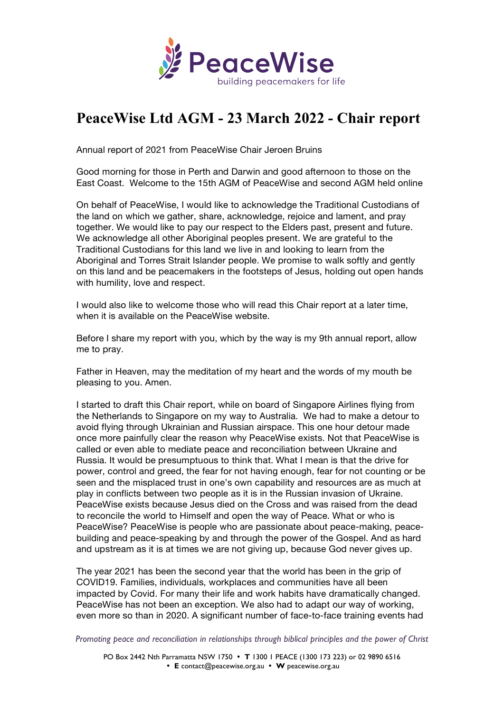

## **PeaceWise Ltd AGM - 23 March 2022 - Chair report**

Annual report of 2021 from PeaceWise Chair Jeroen Bruins

Good morning for those in Perth and Darwin and good afternoon to those on the East Coast. Welcome to the 15th AGM of PeaceWise and second AGM held online

On behalf of PeaceWise, I would like to acknowledge the Traditional Custodians of the land on which we gather, share, acknowledge, rejoice and lament, and pray together. We would like to pay our respect to the Elders past, present and future. We acknowledge all other Aboriginal peoples present. We are grateful to the Traditional Custodians for this land we live in and looking to learn from the Aboriginal and Torres Strait Islander people. We promise to walk softly and gently on this land and be peacemakers in the footsteps of Jesus, holding out open hands with humility, love and respect.

I would also like to welcome those who will read this Chair report at a later time, when it is available on the PeaceWise website.

Before I share my report with you, which by the way is my 9th annual report, allow me to pray.

Father in Heaven, may the meditation of my heart and the words of my mouth be pleasing to you. Amen.

I started to draft this Chair report, while on board of Singapore Airlines flying from the Netherlands to Singapore on my way to Australia. We had to make a detour to avoid flying through Ukrainian and Russian airspace. This one hour detour made once more painfully clear the reason why PeaceWise exists. Not that PeaceWise is called or even able to mediate peace and reconciliation between Ukraine and Russia. It would be presumptuous to think that. What I mean is that the drive for power, control and greed, the fear for not having enough, fear for not counting or be seen and the misplaced trust in one's own capability and resources are as much at play in conflicts between two people as it is in the Russian invasion of Ukraine. PeaceWise exists because Jesus died on the Cross and was raised from the dead to reconcile the world to Himself and open the way of Peace. What or who is PeaceWise? PeaceWise is people who are passionate about peace-making, peacebuilding and peace-speaking by and through the power of the Gospel. And as hard and upstream as it is at times we are not giving up, because God never gives up.

The year 2021 has been the second year that the world has been in the grip of COVID19. Families, individuals, workplaces and communities have all been impacted by Covid. For many their life and work habits have dramatically changed. PeaceWise has not been an exception. We also had to adapt our way of working, even more so than in 2020. A significant number of face-to-face training events had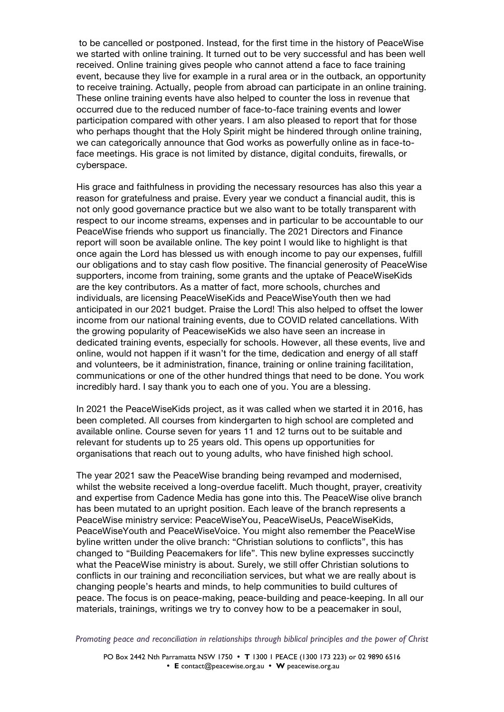to be cancelled or postponed. Instead, for the first time in the history of PeaceWise we started with online training. It turned out to be very successful and has been well received. Online training gives people who cannot attend a face to face training event, because they live for example in a rural area or in the outback, an opportunity to receive training. Actually, people from abroad can participate in an online training. These online training events have also helped to counter the loss in revenue that occurred due to the reduced number of face-to-face training events and lower participation compared with other years. I am also pleased to report that for those who perhaps thought that the Holy Spirit might be hindered through online training, we can categorically announce that God works as powerfully online as in face-toface meetings. His grace is not limited by distance, digital conduits, firewalls, or cyberspace.

His grace and faithfulness in providing the necessary resources has also this year a reason for gratefulness and praise. Every year we conduct a financial audit, this is not only good governance practice but we also want to be totally transparent with respect to our income streams, expenses and in particular to be accountable to our PeaceWise friends who support us financially. The 2021 Directors and Finance report will soon be available online. The key point I would like to highlight is that once again the Lord has blessed us with enough income to pay our expenses, fulfill our obligations and to stay cash flow positive. The financial generosity of PeaceWise supporters, income from training, some grants and the uptake of PeaceWiseKids are the key contributors. As a matter of fact, more schools, churches and individuals, are licensing PeaceWiseKids and PeaceWiseYouth then we had anticipated in our 2021 budget. Praise the Lord! This also helped to offset the lower income from our national training events, due to COVID related cancellations. With the growing popularity of PeacewiseKids we also have seen an increase in dedicated training events, especially for schools. However, all these events, live and online, would not happen if it wasn't for the time, dedication and energy of all staff and volunteers, be it administration, finance, training or online training facilitation, communications or one of the other hundred things that need to be done. You work incredibly hard. I say thank you to each one of you. You are a blessing.

In 2021 the PeaceWiseKids project, as it was called when we started it in 2016, has been completed. All courses from kindergarten to high school are completed and available online. Course seven for years 11 and 12 turns out to be suitable and relevant for students up to 25 years old. This opens up opportunities for organisations that reach out to young adults, who have finished high school.

The year 2021 saw the PeaceWise branding being revamped and modernised, whilst the website received a long-overdue facelift. Much thought, prayer, creativity and expertise from Cadence Media has gone into this. The PeaceWise olive branch has been mutated to an upright position. Each leave of the branch represents a PeaceWise ministry service: PeaceWiseYou, PeaceWiseUs, PeaceWiseKids, PeaceWiseYouth and PeaceWiseVoice. You might also remember the PeaceWise byline written under the olive branch: "Christian solutions to conflicts", this has changed to "Building Peacemakers for life". This new byline expresses succinctly what the PeaceWise ministry is about. Surely, we still offer Christian solutions to conflicts in our training and reconciliation services, but what we are really about is changing people's hearts and minds, to help communities to build cultures of peace. The focus is on peace-making, peace-building and peace-keeping. In all our materials, trainings, writings we try to convey how to be a peacemaker in soul,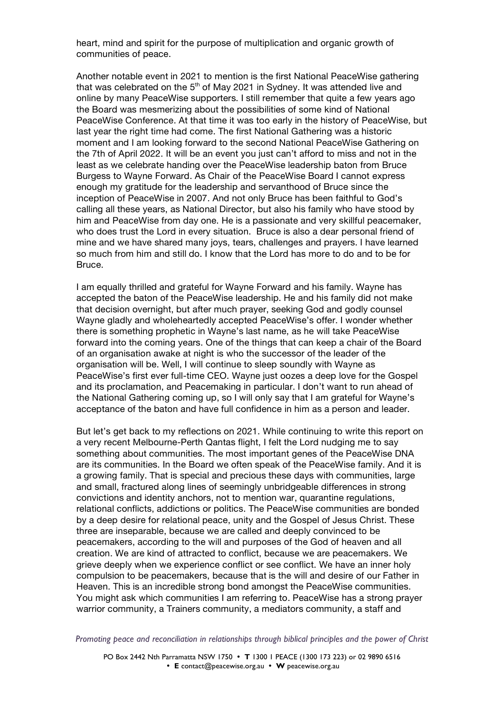heart, mind and spirit for the purpose of multiplication and organic growth of communities of peace.

Another notable event in 2021 to mention is the first National PeaceWise gathering that was celebrated on the  $5<sup>th</sup>$  of May 2021 in Sydney. It was attended live and online by many PeaceWise supporters. I still remember that quite a few years ago the Board was mesmerizing about the possibilities of some kind of National PeaceWise Conference. At that time it was too early in the history of PeaceWise, but last year the right time had come. The first National Gathering was a historic moment and I am looking forward to the second National PeaceWise Gathering on the 7th of April 2022. It will be an event you just can't afford to miss and not in the least as we celebrate handing over the PeaceWise leadership baton from Bruce Burgess to Wayne Forward. As Chair of the PeaceWise Board I cannot express enough my gratitude for the leadership and servanthood of Bruce since the inception of PeaceWise in 2007. And not only Bruce has been faithful to God's calling all these years, as National Director, but also his family who have stood by him and PeaceWise from day one. He is a passionate and very skillful peacemaker, who does trust the Lord in every situation. Bruce is also a dear personal friend of mine and we have shared many joys, tears, challenges and prayers. I have learned so much from him and still do. I know that the Lord has more to do and to be for Bruce.

I am equally thrilled and grateful for Wayne Forward and his family. Wayne has accepted the baton of the PeaceWise leadership. He and his family did not make that decision overnight, but after much prayer, seeking God and godly counsel Wayne gladly and wholeheartedly accepted PeaceWise's offer. I wonder whether there is something prophetic in Wayne's last name, as he will take PeaceWise forward into the coming years. One of the things that can keep a chair of the Board of an organisation awake at night is who the successor of the leader of the organisation will be. Well, I will continue to sleep soundly with Wayne as PeaceWise's first ever full-time CEO. Wayne just oozes a deep love for the Gospel and its proclamation, and Peacemaking in particular. I don't want to run ahead of the National Gathering coming up, so I will only say that I am grateful for Wayne's acceptance of the baton and have full confidence in him as a person and leader.

But let's get back to my reflections on 2021. While continuing to write this report on a very recent Melbourne-Perth Qantas flight, I felt the Lord nudging me to say something about communities. The most important genes of the PeaceWise DNA are its communities. In the Board we often speak of the PeaceWise family. And it is a growing family. That is special and precious these days with communities, large and small, fractured along lines of seemingly unbridgeable differences in strong convictions and identity anchors, not to mention war, quarantine regulations, relational conflicts, addictions or politics. The PeaceWise communities are bonded by a deep desire for relational peace, unity and the Gospel of Jesus Christ. These three are inseparable, because we are called and deeply convinced to be peacemakers, according to the will and purposes of the God of heaven and all creation. We are kind of attracted to conflict, because we are peacemakers. We grieve deeply when we experience conflict or see conflict. We have an inner holy compulsion to be peacemakers, because that is the will and desire of our Father in Heaven. This is an incredible strong bond amongst the PeaceWise communities. You might ask which communities I am referring to. PeaceWise has a strong prayer warrior community, a Trainers community, a mediators community, a staff and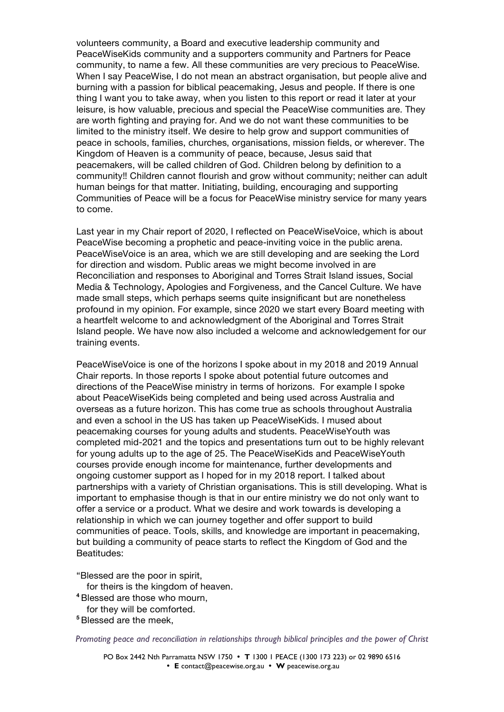volunteers community, a Board and executive leadership community and PeaceWiseKids community and a supporters community and Partners for Peace community, to name a few. All these communities are very precious to PeaceWise. When I say PeaceWise, I do not mean an abstract organisation, but people alive and burning with a passion for biblical peacemaking, Jesus and people. If there is one thing I want you to take away, when you listen to this report or read it later at your leisure, is how valuable, precious and special the PeaceWise communities are. They are worth fighting and praying for. And we do not want these communities to be limited to the ministry itself. We desire to help grow and support communities of peace in schools, families, churches, organisations, mission fields, or wherever. The Kingdom of Heaven is a community of peace, because, Jesus said that peacemakers, will be called children of God. Children belong by definition to a community!! Children cannot flourish and grow without community; neither can adult human beings for that matter. Initiating, building, encouraging and supporting Communities of Peace will be a focus for PeaceWise ministry service for many years to come.

Last year in my Chair report of 2020, I reflected on PeaceWiseVoice, which is about PeaceWise becoming a prophetic and peace-inviting voice in the public arena. PeaceWiseVoice is an area, which we are still developing and are seeking the Lord for direction and wisdom. Public areas we might become involved in are Reconciliation and responses to Aboriginal and Torres Strait Island issues, Social Media & Technology, Apologies and Forgiveness, and the Cancel Culture. We have made small steps, which perhaps seems quite insignificant but are nonetheless profound in my opinion. For example, since 2020 we start every Board meeting with a heartfelt welcome to and acknowledgment of the Aboriginal and Torres Strait Island people. We have now also included a welcome and acknowledgement for our training events.

PeaceWiseVoice is one of the horizons I spoke about in my 2018 and 2019 Annual Chair reports. In those reports I spoke about potential future outcomes and directions of the PeaceWise ministry in terms of horizons. For example I spoke about PeaceWiseKids being completed and being used across Australia and overseas as a future horizon. This has come true as schools throughout Australia and even a school in the US has taken up PeaceWiseKids. I mused about peacemaking courses for young adults and students. PeaceWiseYouth was completed mid-2021 and the topics and presentations turn out to be highly relevant for young adults up to the age of 25. The PeaceWiseKids and PeaceWiseYouth courses provide enough income for maintenance, further developments and ongoing customer support as I hoped for in my 2018 report. I talked about partnerships with a variety of Christian organisations. This is still developing. What is important to emphasise though is that in our entire ministry we do not only want to offer a service or a product. What we desire and work towards is developing a relationship in which we can journey together and offer support to build communities of peace. Tools, skills, and knowledge are important in peacemaking, but building a community of peace starts to reflect the Kingdom of God and the Beatitudes:

"Blessed are the poor in spirit,

- for theirs is the kingdom of heaven.
- **<sup>4</sup>** Blessed are those who mourn,
- for they will be comforted.
- **<sup>5</sup>** Blessed are the meek,